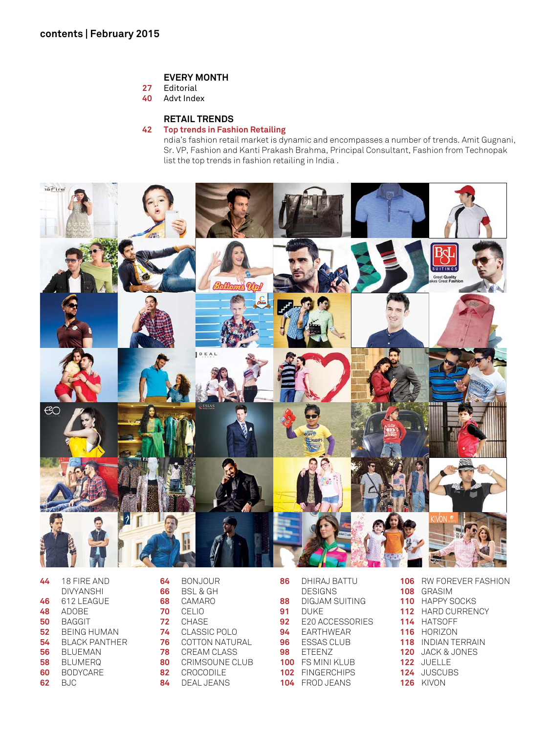## **EVERY MONTH**

- Editorial
- Advt Index

## **RETAIL TRENDS**

## **42 Top trends in Fashion Retailing**

 ndia's fashion retail market is dynamic and encompasses a number of trends. Amit Gugnani, Sr. VP, Fashion and Kanti Prakash Brahma, Principal Consultant, Fashion from Technopak list the top trends in fashion retailing in India .



| 44 | <b>18 FIRF AND</b> |
|----|--------------------|
|    | DIVYANSHI          |
| 46 | 612 LEAGUE         |
| 48 | ADOBE              |
| 50 | BAGGIT             |
| 52 | BEING HUMAN        |
| 54 | BLACK PANTHER      |
| 56 | BLUEMAN            |
| 58 | BLUMERQ            |
| 60 | <b>BODYCARE</b>    |
| 62 | BJC                |

| 64 | BONJOUR        |
|----|----------------|
| 66 | BSL & GH       |
| 68 | CAMARO         |
| 70 | CELIO          |
| 72 | CHASE          |
| 74 | CLASSIC POLO   |
| 76 | COTTON NATURAL |
| 78 | CREAM CLASS    |
| 80 | CRIMSOUNE CLUB |
| 82 | CROCODII F     |
| 84 | DEAL JEANS     |

| 86  | DHIRAJ BATTU    |
|-----|-----------------|
|     | DESIGNS         |
| 88  | DIGJAM SUITING  |
| 91  | DUKF            |
| 92  | E20 ACCESSORIES |
| 94  | FARTHWEAR       |
| 96  | ESSAS CLUB      |
| 98  | FTFFN7          |
| 100 | FS MINI KI UR   |
|     | 102 FINGERCHIPS |
| 104 | FROD JEANS      |
|     |                 |

 RW FOREVER FASHION GRASIM HAPPY SOCKS HARD CURRENCY HATSOFF HORIZON INDIAN TERRAIN JACK & JONES JUELLE JUSCUBS KIVON